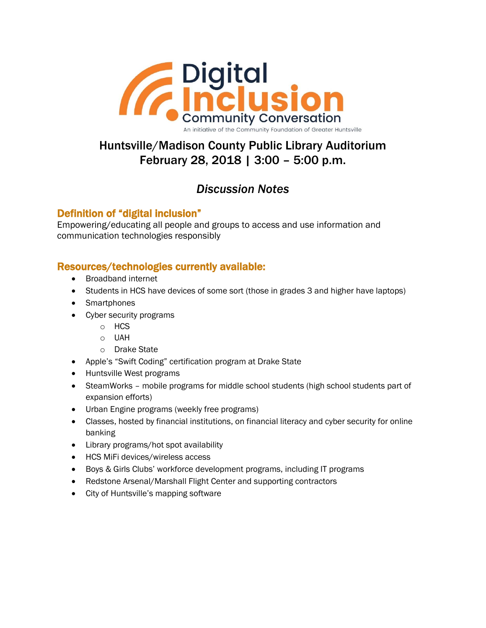

Huntsville/Madison County Public Library Auditorium February 28, 2018 | 3:00 – 5:00 p.m.

# *Discussion Notes*

# Definition of "digital inclusion"

Empowering/educating all people and groups to access and use information and communication technologies responsibly

# Resources/technologies currently available:

- Broadband internet
- Students in HCS have devices of some sort (those in grades 3 and higher have laptops)
- Smartphones
- Cyber security programs
	- o HCS
	- o UAH
	- o Drake State
- Apple's "Swift Coding" certification program at Drake State
- Huntsville West programs
- SteamWorks mobile programs for middle school students (high school students part of expansion efforts)
- Urban Engine programs (weekly free programs)
- Classes, hosted by financial institutions, on financial literacy and cyber security for online banking
- Library programs/hot spot availability
- HCS MiFi devices/wireless access
- Boys & Girls Clubs' workforce development programs, including IT programs
- Redstone Arsenal/Marshall Flight Center and supporting contractors
- City of Huntsville's mapping software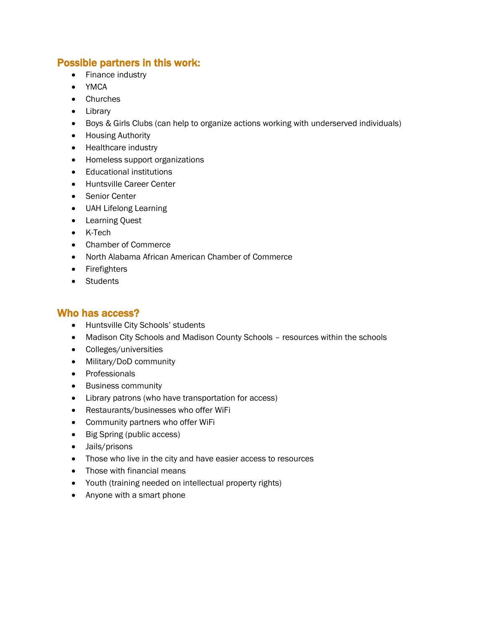### Possible partners in this work:

- Finance industry
- YMCA
- Churches
- Library
- Boys & Girls Clubs (can help to organize actions working with underserved individuals)
- **•** Housing Authority
- Healthcare industry
- Homeless support organizations
- Educational institutions
- Huntsville Career Center
- Senior Center
- UAH Lifelong Learning
- Learning Quest
- K-Tech
- Chamber of Commerce
- North Alabama African American Chamber of Commerce
- Firefighters
- Students

### Who has access?

- Huntsville City Schools' students
- Madison City Schools and Madison County Schools resources within the schools
- Colleges/universities
- Military/DoD community
- Professionals
- Business community
- Library patrons (who have transportation for access)
- Restaurants/businesses who offer WiFi
- Community partners who offer WiFi
- Big Spring (public access)
- Jails/prisons
- Those who live in the city and have easier access to resources
- Those with financial means
- Youth (training needed on intellectual property rights)
- Anyone with a smart phone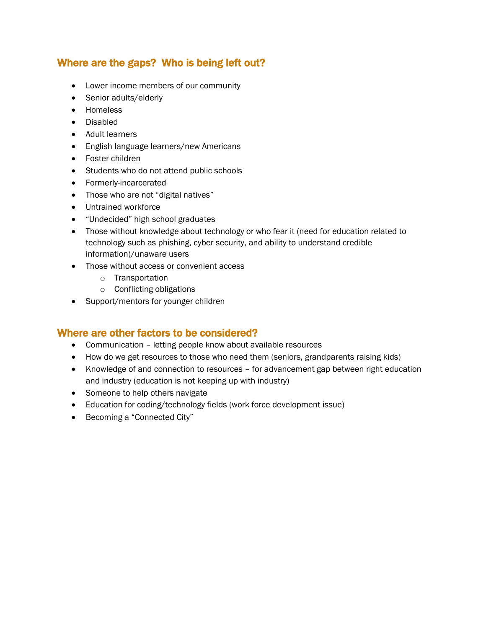# Where are the gaps? Who is being left out?

- Lower income members of our community
- Senior adults/elderly
- Homeless
- Disabled
- Adult learners
- English language learners/new Americans
- Foster children
- Students who do not attend public schools
- Formerly-incarcerated
- Those who are not "digital natives"
- Untrained workforce
- "Undecided" high school graduates
- Those without knowledge about technology or who fear it (need for education related to technology such as phishing, cyber security, and ability to understand credible information)/unaware users
- Those without access or convenient access
	- o Transportation
	- o Conflicting obligations
- Support/mentors for younger children

### Where are other factors to be considered?

- Communication letting people know about available resources
- How do we get resources to those who need them (seniors, grandparents raising kids)
- Knowledge of and connection to resources for advancement gap between right education and industry (education is not keeping up with industry)
- Someone to help others navigate
- Education for coding/technology fields (work force development issue)
- Becoming a "Connected City"